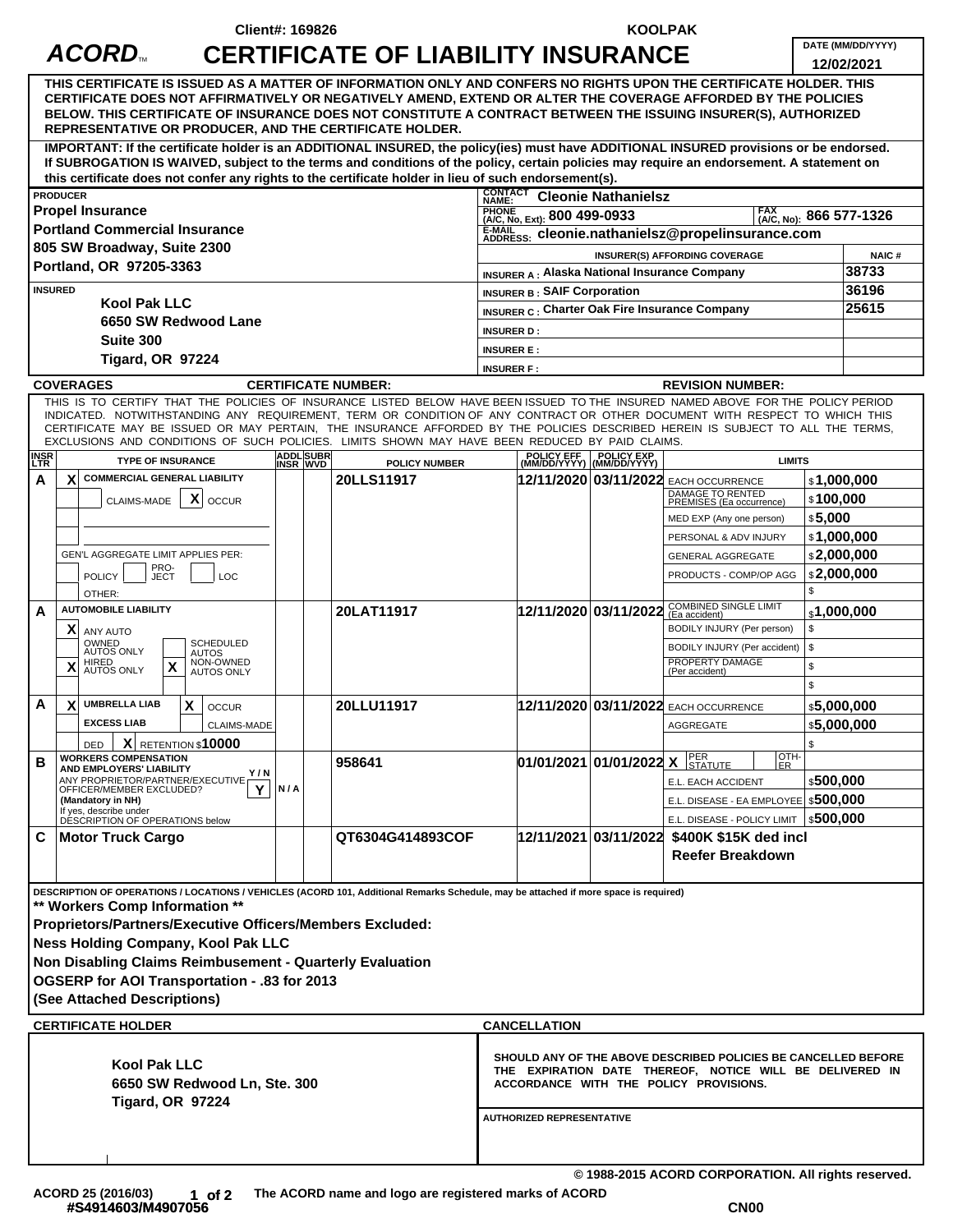|                                                                                                                                                                                                                                                                                                                                                                                                                                                                                                                                                                                                                                                                                                        |                                                                                                                                                                                                                                                                                                                                                                                                                                                                                                                                                                                                                 | <b>Client#: 169826</b>                                            |                                           |                                                                                                                                                                      | <b>KOOLPAK</b>                                     |                                                                                                                   |                                       |                                 |
|--------------------------------------------------------------------------------------------------------------------------------------------------------------------------------------------------------------------------------------------------------------------------------------------------------------------------------------------------------------------------------------------------------------------------------------------------------------------------------------------------------------------------------------------------------------------------------------------------------------------------------------------------------------------------------------------------------|-----------------------------------------------------------------------------------------------------------------------------------------------------------------------------------------------------------------------------------------------------------------------------------------------------------------------------------------------------------------------------------------------------------------------------------------------------------------------------------------------------------------------------------------------------------------------------------------------------------------|-------------------------------------------------------------------|-------------------------------------------|----------------------------------------------------------------------------------------------------------------------------------------------------------------------|----------------------------------------------------|-------------------------------------------------------------------------------------------------------------------|---------------------------------------|---------------------------------|
|                                                                                                                                                                                                                                                                                                                                                                                                                                                                                                                                                                                                                                                                                                        | ACORD                                                                                                                                                                                                                                                                                                                                                                                                                                                                                                                                                                                                           |                                                                   | <b>CERTIFICATE OF LIABILITY INSURANCE</b> |                                                                                                                                                                      |                                                    |                                                                                                                   |                                       | DATE (MM/DD/YYYY)<br>12/02/2021 |
| THIS CERTIFICATE IS ISSUED AS A MATTER OF INFORMATION ONLY AND CONFERS NO RIGHTS UPON THE CERTIFICATE HOLDER. THIS<br>CERTIFICATE DOES NOT AFFIRMATIVELY OR NEGATIVELY AMEND, EXTEND OR ALTER THE COVERAGE AFFORDED BY THE POLICIES<br>BELOW. THIS CERTIFICATE OF INSURANCE DOES NOT CONSTITUTE A CONTRACT BETWEEN THE ISSUING INSURER(S), AUTHORIZED<br>REPRESENTATIVE OR PRODUCER, AND THE CERTIFICATE HOLDER.<br>IMPORTANT: If the certificate holder is an ADDITIONAL INSURED, the policy(ies) must have ADDITIONAL INSURED provisions or be endorsed.<br>If SUBROGATION IS WAIVED, subject to the terms and conditions of the policy, certain policies may require an endorsement. A statement on |                                                                                                                                                                                                                                                                                                                                                                                                                                                                                                                                                                                                                 |                                                                   |                                           |                                                                                                                                                                      |                                                    |                                                                                                                   |                                       |                                 |
| this certificate does not confer any rights to the certificate holder in lieu of such endorsement(s).                                                                                                                                                                                                                                                                                                                                                                                                                                                                                                                                                                                                  |                                                                                                                                                                                                                                                                                                                                                                                                                                                                                                                                                                                                                 |                                                                   |                                           |                                                                                                                                                                      |                                                    |                                                                                                                   |                                       |                                 |
|                                                                                                                                                                                                                                                                                                                                                                                                                                                                                                                                                                                                                                                                                                        | <b>PRODUCER</b>                                                                                                                                                                                                                                                                                                                                                                                                                                                                                                                                                                                                 |                                                                   |                                           | <b>CONTACT</b><br>NAME:                                                                                                                                              | <b>Cleonie Nathanielsz</b>                         |                                                                                                                   |                                       |                                 |
|                                                                                                                                                                                                                                                                                                                                                                                                                                                                                                                                                                                                                                                                                                        | <b>Propel Insurance</b>                                                                                                                                                                                                                                                                                                                                                                                                                                                                                                                                                                                         | PHONE (A/C, No, Ext): 800 499-0933<br>FAX (A/C, No): 866 577-1326 |                                           |                                                                                                                                                                      |                                                    |                                                                                                                   |                                       |                                 |
|                                                                                                                                                                                                                                                                                                                                                                                                                                                                                                                                                                                                                                                                                                        | <b>Portland Commercial Insurance</b><br>805 SW Broadway, Suite 2300                                                                                                                                                                                                                                                                                                                                                                                                                                                                                                                                             | E-MAIL<br>E-MAIL SE: Cleonie.nathanielsz@propelinsurance.com      |                                           |                                                                                                                                                                      |                                                    |                                                                                                                   |                                       |                                 |
|                                                                                                                                                                                                                                                                                                                                                                                                                                                                                                                                                                                                                                                                                                        | Portland, OR 97205-3363                                                                                                                                                                                                                                                                                                                                                                                                                                                                                                                                                                                         | INSURER(S) AFFORDING COVERAGE<br><b>NAIC#</b>                     |                                           |                                                                                                                                                                      |                                                    |                                                                                                                   |                                       |                                 |
|                                                                                                                                                                                                                                                                                                                                                                                                                                                                                                                                                                                                                                                                                                        |                                                                                                                                                                                                                                                                                                                                                                                                                                                                                                                                                                                                                 | INSURER A : Alaska National Insurance Company                     |                                           |                                                                                                                                                                      |                                                    | 38733                                                                                                             |                                       |                                 |
| <b>INSURED</b><br><b>Kool Pak LLC</b>                                                                                                                                                                                                                                                                                                                                                                                                                                                                                                                                                                                                                                                                  |                                                                                                                                                                                                                                                                                                                                                                                                                                                                                                                                                                                                                 |                                                                   |                                           | <b>INSURER B: SAIF Corporation</b>                                                                                                                                   |                                                    |                                                                                                                   |                                       | 36196<br>25615                  |
| 6650 SW Redwood Lane                                                                                                                                                                                                                                                                                                                                                                                                                                                                                                                                                                                                                                                                                   |                                                                                                                                                                                                                                                                                                                                                                                                                                                                                                                                                                                                                 |                                                                   |                                           | <b>INSURER C: Charter Oak Fire Insurance Company</b>                                                                                                                 |                                                    |                                                                                                                   |                                       |                                 |
| Suite 300                                                                                                                                                                                                                                                                                                                                                                                                                                                                                                                                                                                                                                                                                              |                                                                                                                                                                                                                                                                                                                                                                                                                                                                                                                                                                                                                 |                                                                   |                                           | <b>INSURER D:</b><br><b>INSURER E:</b>                                                                                                                               |                                                    |                                                                                                                   |                                       |                                 |
|                                                                                                                                                                                                                                                                                                                                                                                                                                                                                                                                                                                                                                                                                                        | <b>Tigard, OR 97224</b>                                                                                                                                                                                                                                                                                                                                                                                                                                                                                                                                                                                         | <b>INSURER F:</b>                                                 |                                           |                                                                                                                                                                      |                                                    |                                                                                                                   |                                       |                                 |
|                                                                                                                                                                                                                                                                                                                                                                                                                                                                                                                                                                                                                                                                                                        | <b>COVERAGES</b>                                                                                                                                                                                                                                                                                                                                                                                                                                                                                                                                                                                                |                                                                   | <b>CERTIFICATE NUMBER:</b>                | <b>REVISION NUMBER:</b>                                                                                                                                              |                                                    |                                                                                                                   |                                       |                                 |
| <b>INSR</b><br>LTR<br>A                                                                                                                                                                                                                                                                                                                                                                                                                                                                                                                                                                                                                                                                                | THIS IS TO CERTIFY THAT THE POLICIES OF INSURANCE LISTED BELOW HAVE BEEN ISSUED TO THE INSURED NAMED ABOVE FOR THE POLICY PERIOD<br>INDICATED. NOTWITHSTANDING ANY REQUIREMENT, TERM OR CONDITION OF ANY CONTRACT OR OTHER DOCUMENT WITH RESPECT TO WHICH THIS<br>CERTIFICATE MAY BE ISSUED OR MAY PERTAIN, THE INSURANCE AFFORDED BY THE POLICIES DESCRIBED HEREIN IS SUBJECT TO ALL THE TERMS,<br>EXCLUSIONS AND CONDITIONS OF SUCH POLICIES. LIMITS SHOWN MAY HAVE BEEN REDUCED BY PAID CLAIMS.<br><b>TYPE OF INSURANCE</b><br><b>COMMERCIAL GENERAL LIABILITY</b><br>$\mathbf{x}$<br>X OCCUR<br>CLAIMS-MADE | <b>ADDL SUBR</b><br><b>INSR WVD</b>                               | <b>POLICY NUMBER</b><br>20LLS11917        |                                                                                                                                                                      | POLICY EFF POLICY EXP<br>(MM/DD/YYYY) (MM/DD/YYYY) | 12/11/2020 03/11/2022 EACH OCCURRENCE<br>DAMAGE TO RENTED<br>PREMISES (Ea occurrence)<br>MED EXP (Any one person) | <b>LIMITS</b><br>\$100,000<br>\$5,000 | \$1,000,000                     |
|                                                                                                                                                                                                                                                                                                                                                                                                                                                                                                                                                                                                                                                                                                        |                                                                                                                                                                                                                                                                                                                                                                                                                                                                                                                                                                                                                 |                                                                   |                                           |                                                                                                                                                                      |                                                    | PERSONAL & ADV INJURY                                                                                             |                                       | \$1,000,000                     |
|                                                                                                                                                                                                                                                                                                                                                                                                                                                                                                                                                                                                                                                                                                        | GEN'L AGGREGATE LIMIT APPLIES PER:<br>PRO-                                                                                                                                                                                                                                                                                                                                                                                                                                                                                                                                                                      |                                                                   |                                           |                                                                                                                                                                      |                                                    | <b>GENERAL AGGREGATE</b>                                                                                          |                                       | \$2,000,000                     |
|                                                                                                                                                                                                                                                                                                                                                                                                                                                                                                                                                                                                                                                                                                        | <b>POLICY</b><br>LOC<br><b>JECT</b>                                                                                                                                                                                                                                                                                                                                                                                                                                                                                                                                                                             |                                                                   |                                           |                                                                                                                                                                      |                                                    | PRODUCTS - COMP/OP AGG                                                                                            | \$                                    | \$2,000,000                     |
| A                                                                                                                                                                                                                                                                                                                                                                                                                                                                                                                                                                                                                                                                                                      | OTHER:<br><b>AUTOMOBILE LIABILITY</b><br>X<br>ANY AUTO                                                                                                                                                                                                                                                                                                                                                                                                                                                                                                                                                          |                                                                   | 20LAT11917                                |                                                                                                                                                                      |                                                    | 12/11/2020 03/11/2022 COMBINED SINGLE LIMIT<br>BODILY INJURY (Per person)                                         | $_{\text{\tiny $}}$ 1,000,000<br>\$   |                                 |
|                                                                                                                                                                                                                                                                                                                                                                                                                                                                                                                                                                                                                                                                                                        | OWNED<br>AUTOS ONLY<br><b>SCHEDULED</b><br><b>AUTOS</b>                                                                                                                                                                                                                                                                                                                                                                                                                                                                                                                                                         |                                                                   |                                           |                                                                                                                                                                      |                                                    | BODILY INJURY (Per accident)                                                                                      | \$                                    |                                 |
|                                                                                                                                                                                                                                                                                                                                                                                                                                                                                                                                                                                                                                                                                                        | NON-OWNED<br>HIRED<br>AUTOS ONLY<br>$\pmb{\mathsf{X}}$<br>Χ<br><b>AUTOS ONLY</b>                                                                                                                                                                                                                                                                                                                                                                                                                                                                                                                                |                                                                   |                                           |                                                                                                                                                                      |                                                    | PROPERTY DAMAGE<br>(Per accident)                                                                                 | $\mathfrak s$                         |                                 |
|                                                                                                                                                                                                                                                                                                                                                                                                                                                                                                                                                                                                                                                                                                        |                                                                                                                                                                                                                                                                                                                                                                                                                                                                                                                                                                                                                 |                                                                   |                                           |                                                                                                                                                                      |                                                    |                                                                                                                   | \$                                    |                                 |
| A                                                                                                                                                                                                                                                                                                                                                                                                                                                                                                                                                                                                                                                                                                      | <b>UMBRELLA LIAB</b><br>X<br>X<br><b>OCCUR</b>                                                                                                                                                                                                                                                                                                                                                                                                                                                                                                                                                                  |                                                                   | 20LLU11917                                |                                                                                                                                                                      |                                                    | 12/11/2020 03/11/2022 EACH OCCURRENCE                                                                             |                                       | \$5,000,000                     |
|                                                                                                                                                                                                                                                                                                                                                                                                                                                                                                                                                                                                                                                                                                        | <b>EXCESS LIAB</b><br>CLAIMS-MADE                                                                                                                                                                                                                                                                                                                                                                                                                                                                                                                                                                               |                                                                   |                                           |                                                                                                                                                                      |                                                    | AGGREGATE                                                                                                         |                                       | \$5,000,000                     |
|                                                                                                                                                                                                                                                                                                                                                                                                                                                                                                                                                                                                                                                                                                        | X<br>RETENTION \$10000<br><b>DED</b>                                                                                                                                                                                                                                                                                                                                                                                                                                                                                                                                                                            |                                                                   |                                           |                                                                                                                                                                      |                                                    |                                                                                                                   | \$<br>OTH-                            |                                 |
| в                                                                                                                                                                                                                                                                                                                                                                                                                                                                                                                                                                                                                                                                                                      | <b>WORKERS COMPENSATION</b><br>AND EMPLOYERS' LIABILITY<br>Y / N                                                                                                                                                                                                                                                                                                                                                                                                                                                                                                                                                |                                                                   | 958641                                    |                                                                                                                                                                      | 01/01/2021 01/01/2022 X STATUTE                    |                                                                                                                   | ER.                                   |                                 |
|                                                                                                                                                                                                                                                                                                                                                                                                                                                                                                                                                                                                                                                                                                        | ANY PROPRIETOR/PARTNER/EXECUTIVE<br>OFFICER/MEMBER EXCLUDED?<br>Υ                                                                                                                                                                                                                                                                                                                                                                                                                                                                                                                                               | N/A                                                               |                                           |                                                                                                                                                                      |                                                    | E.L. EACH ACCIDENT                                                                                                | \$500,000                             |                                 |
|                                                                                                                                                                                                                                                                                                                                                                                                                                                                                                                                                                                                                                                                                                        | (Mandatory in NH)<br>If yes, describe under                                                                                                                                                                                                                                                                                                                                                                                                                                                                                                                                                                     |                                                                   |                                           |                                                                                                                                                                      |                                                    | E.L. DISEASE - EA EMPLOYEE \$500,000<br>E.L. DISEASE - POLICY LIMIT                                               | \$500,000                             |                                 |
| С                                                                                                                                                                                                                                                                                                                                                                                                                                                                                                                                                                                                                                                                                                      | DESCRIPTION OF OPERATIONS below<br><b>Motor Truck Cargo</b>                                                                                                                                                                                                                                                                                                                                                                                                                                                                                                                                                     |                                                                   | QT6304G414893COF                          |                                                                                                                                                                      | 12/11/2021 03/11/2022                              | \$400K \$15K ded incl                                                                                             |                                       |                                 |
|                                                                                                                                                                                                                                                                                                                                                                                                                                                                                                                                                                                                                                                                                                        |                                                                                                                                                                                                                                                                                                                                                                                                                                                                                                                                                                                                                 |                                                                   |                                           |                                                                                                                                                                      |                                                    | <b>Reefer Breakdown</b>                                                                                           |                                       |                                 |
|                                                                                                                                                                                                                                                                                                                                                                                                                                                                                                                                                                                                                                                                                                        |                                                                                                                                                                                                                                                                                                                                                                                                                                                                                                                                                                                                                 |                                                                   |                                           |                                                                                                                                                                      |                                                    |                                                                                                                   |                                       |                                 |
| DESCRIPTION OF OPERATIONS / LOCATIONS / VEHICLES (ACORD 101, Additional Remarks Schedule, may be attached if more space is required)                                                                                                                                                                                                                                                                                                                                                                                                                                                                                                                                                                   |                                                                                                                                                                                                                                                                                                                                                                                                                                                                                                                                                                                                                 |                                                                   |                                           |                                                                                                                                                                      |                                                    |                                                                                                                   |                                       |                                 |
| ** Workers Comp Information **                                                                                                                                                                                                                                                                                                                                                                                                                                                                                                                                                                                                                                                                         |                                                                                                                                                                                                                                                                                                                                                                                                                                                                                                                                                                                                                 |                                                                   |                                           |                                                                                                                                                                      |                                                    |                                                                                                                   |                                       |                                 |
| Proprietors/Partners/Executive Officers/Members Excluded:                                                                                                                                                                                                                                                                                                                                                                                                                                                                                                                                                                                                                                              |                                                                                                                                                                                                                                                                                                                                                                                                                                                                                                                                                                                                                 |                                                                   |                                           |                                                                                                                                                                      |                                                    |                                                                                                                   |                                       |                                 |
| <b>Ness Holding Company, Kool Pak LLC</b>                                                                                                                                                                                                                                                                                                                                                                                                                                                                                                                                                                                                                                                              |                                                                                                                                                                                                                                                                                                                                                                                                                                                                                                                                                                                                                 |                                                                   |                                           |                                                                                                                                                                      |                                                    |                                                                                                                   |                                       |                                 |
| Non Disabling Claims Reimbusement - Quarterly Evaluation<br>OGSERP for AOI Transportation - .83 for 2013                                                                                                                                                                                                                                                                                                                                                                                                                                                                                                                                                                                               |                                                                                                                                                                                                                                                                                                                                                                                                                                                                                                                                                                                                                 |                                                                   |                                           |                                                                                                                                                                      |                                                    |                                                                                                                   |                                       |                                 |
| (See Attached Descriptions)                                                                                                                                                                                                                                                                                                                                                                                                                                                                                                                                                                                                                                                                            |                                                                                                                                                                                                                                                                                                                                                                                                                                                                                                                                                                                                                 |                                                                   |                                           |                                                                                                                                                                      |                                                    |                                                                                                                   |                                       |                                 |
|                                                                                                                                                                                                                                                                                                                                                                                                                                                                                                                                                                                                                                                                                                        |                                                                                                                                                                                                                                                                                                                                                                                                                                                                                                                                                                                                                 |                                                                   |                                           |                                                                                                                                                                      |                                                    |                                                                                                                   |                                       |                                 |
| <b>CERTIFICATE HOLDER</b><br><b>CANCELLATION</b>                                                                                                                                                                                                                                                                                                                                                                                                                                                                                                                                                                                                                                                       |                                                                                                                                                                                                                                                                                                                                                                                                                                                                                                                                                                                                                 |                                                                   |                                           |                                                                                                                                                                      |                                                    |                                                                                                                   |                                       |                                 |
| <b>Kool Pak LLC</b><br>6650 SW Redwood Ln, Ste. 300<br>Tigard, OR 97224                                                                                                                                                                                                                                                                                                                                                                                                                                                                                                                                                                                                                                |                                                                                                                                                                                                                                                                                                                                                                                                                                                                                                                                                                                                                 |                                                                   |                                           | SHOULD ANY OF THE ABOVE DESCRIBED POLICIES BE CANCELLED BEFORE<br>THE EXPIRATION DATE THEREOF, NOTICE WILL BE DELIVERED IN<br>ACCORDANCE WITH THE POLICY PROVISIONS. |                                                    |                                                                                                                   |                                       |                                 |
|                                                                                                                                                                                                                                                                                                                                                                                                                                                                                                                                                                                                                                                                                                        |                                                                                                                                                                                                                                                                                                                                                                                                                                                                                                                                                                                                                 | <b>AUTHORIZED REPRESENTATIVE</b>                                  |                                           |                                                                                                                                                                      |                                                    |                                                                                                                   |                                       |                                 |